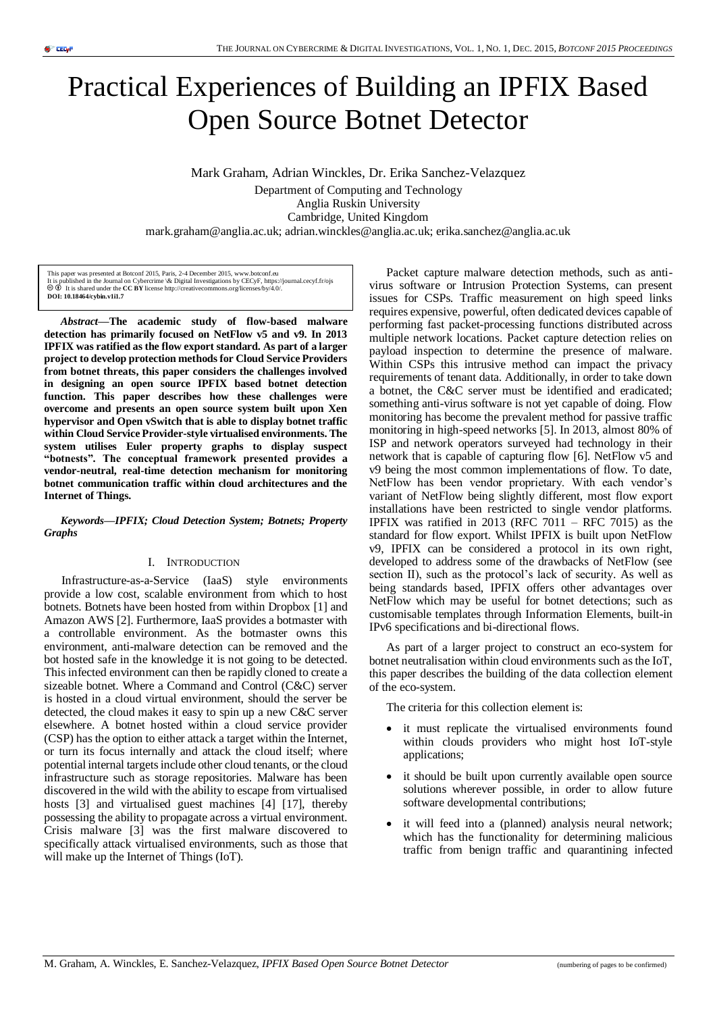# Practical Experiences of Building an IPFIX Based Open Source Botnet Detector

Mark Graham, Adrian Winckles, Dr. Erika Sanchez-Velazquez Department of Computing and Technology Anglia Ruskin University Cambridge, United Kingdom mark.graham@anglia.ac.uk; adrian.winckles@anglia.ac.uk; erika.sanchez@anglia.ac.uk

This paper was presented at Botconf 2015, Paris, 2-4 December 2015, www.botconf.eu It is published in the Journal on Cybercrime \& Digital Investigations by CECyF, https://journal.cecyf.fr/ojs c b It is shared under the **CC BY** license http://creativecommons.org/licenses/by/4.0/. **DOI: 10.18464/cybin.v1i1.7**

*Abstract***—The academic study of flow-based malware detection has primarily focused on NetFlow v5 and v9. In 2013 IPFIX was ratified as the flow export standard. As part of a larger project to develop protection methods for Cloud Service Providers from botnet threats, this paper considers the challenges involved in designing an open source IPFIX based botnet detection function. This paper describes how these challenges were overcome and presents an open source system built upon Xen hypervisor and Open vSwitch that is able to display botnet traffic within Cloud Service Provider-style virtualised environments. The system utilises Euler property graphs to display suspect "botnests". The conceptual framework presented provides a vendor-neutral, real-time detection mechanism for monitoring botnet communication traffic within cloud architectures and the Internet of Things.**

*Keywords—IPFIX; Cloud Detection System; Botnets; Property Graphs*

## I. INTRODUCTION

Infrastructure-as-a-Service (IaaS) style environments provide a low cost, scalable environment from which to host botnets. Botnets have been hosted from within Dropbox [\[1\]](#page-6-0) and Amazon AWS [\[2\].](#page-6-1) Furthermore, IaaS provides a botmaster with a controllable environment. As the botmaster owns this environment, anti-malware detection can be removed and the bot hosted safe in the knowledge it is not going to be detected. This infected environment can then be rapidly cloned to create a sizeable botnet. Where a Command and Control (C&C) server is hosted in a cloud virtual environment, should the server be detected, the cloud makes it easy to spin up a new C&C server elsewhere. A botnet hosted within a cloud service provider (CSP) has the option to either attack a target within the Internet, or turn its focus internally and attack the cloud itself; where potential internal targets include other cloud tenants, or the cloud infrastructure such as storage repositories. Malware has been discovered in the wild with the ability to escape from virtualised hosts [\[3\]](#page-6-2) and virtualised guest machines [\[4\]](#page-6-3) [\[17\],](#page-6-4) thereby possessing the ability to propagate across a virtual environment. Crisis malware [\[3\]](#page-6-2) was the first malware discovered to specifically attack virtualised environments, such as those that will make up the Internet of Things (IoT).

Packet capture malware detection methods, such as antivirus software or Intrusion Protection Systems, can present issues for CSPs. Traffic measurement on high speed links requires expensive, powerful, often dedicated devices capable of performing fast packet-processing functions distributed across multiple network locations. Packet capture detection relies on payload inspection to determine the presence of malware. Within CSPs this intrusive method can impact the privacy requirements of tenant data. Additionally, in order to take down a botnet, the C&C server must be identified and eradicated; something anti-virus software is not yet capable of doing. Flow monitoring has become the prevalent method for passive traffic monitoring in high-speed network[s \[5\].](#page-6-5) In 2013, almost 80% of ISP and network operators surveyed had technology in their network that is capable of capturing flow [\[6\].](#page-6-6) NetFlow v5 and v9 being the most common implementations of flow. To date, NetFlow has been vendor proprietary. With each vendor's variant of NetFlow being slightly different, most flow export installations have been restricted to single vendor platforms. IPFIX was ratified in 2013 (RFC  $7011 -$ RFC  $7015$ ) as the standard for flow export. Whilst IPFIX is built upon NetFlow v9, IPFIX can be considered a protocol in its own right, developed to address some of the drawbacks of NetFlow (see section II), such as the protocol's lack of security. As well as being standards based, IPFIX offers other advantages over NetFlow which may be useful for botnet detections; such as customisable templates through Information Elements, built-in IPv6 specifications and bi-directional flows.

As part of a larger project to construct an eco-system for botnet neutralisation within cloud environments such as the IoT, this paper describes the building of the data collection element of the eco-system.

The criteria for this collection element is:

- it must replicate the virtualised environments found within clouds providers who might host IoT-style applications;
- it should be built upon currently available open source solutions wherever possible, in order to allow future software developmental contributions;
- it will feed into a (planned) analysis neural network; which has the functionality for determining malicious traffic from benign traffic and quarantining infected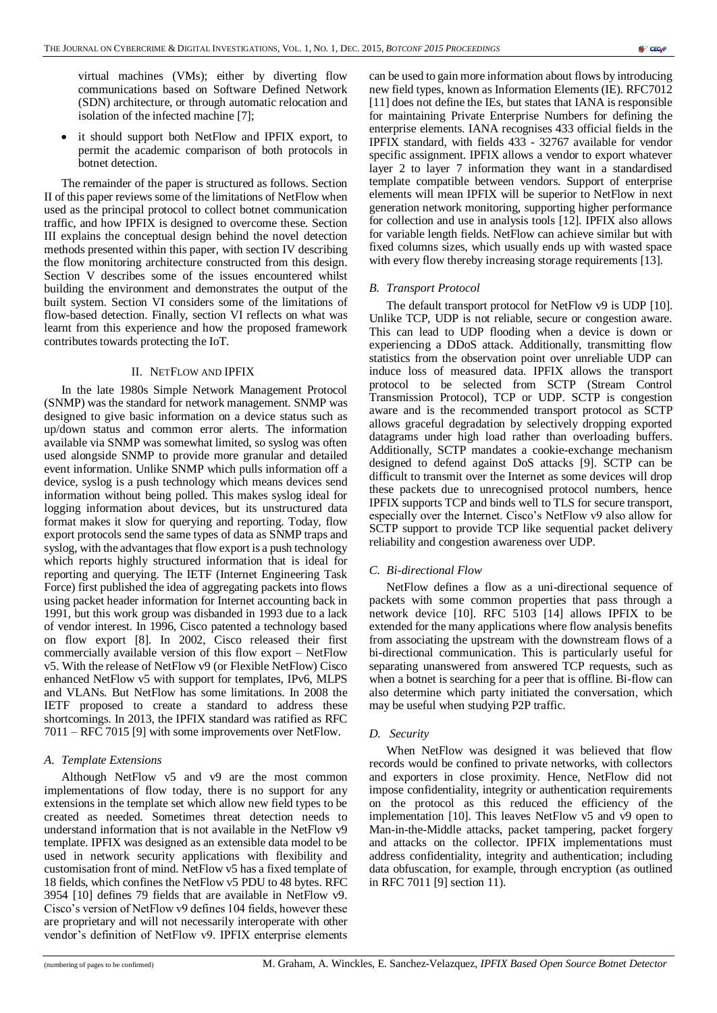60° CECVF

virtual machines (VMs); either by diverting flow communications based on Software Defined Network (SDN) architecture, or through automatic relocation and isolation of the infected machine [\[7\];](#page-6-7)

 it should support both NetFlow and IPFIX export, to permit the academic comparison of both protocols in botnet detection.

The remainder of the paper is structured as follows. Section II of this paper reviews some of the limitations of NetFlow when used as the principal protocol to collect botnet communication traffic, and how IPFIX is designed to overcome these. Section III explains the conceptual design behind the novel detection methods presented within this paper, with section IV describing the flow monitoring architecture constructed from this design. Section V describes some of the issues encountered whilst building the environment and demonstrates the output of the built system. Section VI considers some of the limitations of flow-based detection. Finally, section VI reflects on what was learnt from this experience and how the proposed framework contributes towards protecting the IoT.

## II. NETFLOW AND IPFIX

In the late 1980s Simple Network Management Protocol (SNMP) was the standard for network management. SNMP was designed to give basic information on a device status such as up/down status and common error alerts. The information available via SNMP was somewhat limited, so syslog was often used alongside SNMP to provide more granular and detailed event information. Unlike SNMP which pulls information off a device, syslog is a push technology which means devices send information without being polled. This makes syslog ideal for logging information about devices, but its unstructured data format makes it slow for querying and reporting. Today, flow export protocols send the same types of data as SNMP traps and syslog, with the advantages that flow export is a push technology which reports highly structured information that is ideal for reporting and querying. The IETF (Internet Engineering Task Force) first published the idea of aggregating packets into flows using packet header information for Internet accounting back in 1991, but this work group was disbanded in 1993 due to a lack of vendor interest. In 1996, Cisco patented a technology based on flow export [\[8\].](#page-6-8) In 2002, Cisco released their first commercially available version of this flow export – NetFlow v5. With the release of NetFlow v9 (or Flexible NetFlow) Cisco enhanced NetFlow v5 with support for templates, IPv6, MLPS and VLANs. But NetFlow has some limitations. In 2008 the IETF proposed to create a standard to address these shortcomings. In 2013, the IPFIX standard was ratified as RFC 7011 – RFC 7015 [\[9\]](#page-6-9) with some improvements over NetFlow.

## *A. Template Extensions*

Although NetFlow v5 and v9 are the most common implementations of flow today, there is no support for any extensions in the template set which allow new field types to be created as needed. Sometimes threat detection needs to understand information that is not available in the NetFlow v9 template. IPFIX was designed as an extensible data model to be used in network security applications with flexibility and customisation front of mind. NetFlow v5 has a fixed template of 18 fields, which confines the NetFlow v5 PDU to 48 bytes. RFC 3954 [\[10\]](#page-6-10) defines 79 fields that are available in NetFlow v9. Cisco's version of NetFlow v9 defines 104 fields, however these are proprietary and will not necessarily interoperate with other vendor's definition of NetFlow v9. IPFIX enterprise elements

can be used to gain more information about flows by introducing new field types, known as Information Elements (IE). RFC7012 [\[11\]](#page-6-11) does not define the IEs, but states that IANA is responsible for maintaining Private Enterprise Numbers for defining the enterprise elements. IANA recognises 433 official fields in the IPFIX standard, with fields 433 - 32767 available for vendor specific assignment. IPFIX allows a vendor to export whatever layer 2 to layer 7 information they want in a standardised template compatible between vendors. Support of enterprise elements will mean IPFIX will be superior to NetFlow in next generation network monitoring, supporting higher performance for collection and use in analysis tools [\[12\].](#page-6-12) IPFIX also allows for variable length fields. NetFlow can achieve similar but with fixed columns sizes, which usually ends up with wasted space with every flow thereby increasing storage requirements [\[13\].](#page-6-13)

## *B. Transport Protocol*

The default transport protocol for NetFlow v9 is UDP [\[10\].](#page-6-10) Unlike TCP, UDP is not reliable, secure or congestion aware. This can lead to UDP flooding when a device is down or experiencing a DDoS attack. Additionally, transmitting flow statistics from the observation point over unreliable UDP can induce loss of measured data. IPFIX allows the transport protocol to be selected from SCTP (Stream Control Transmission Protocol), TCP or UDP. SCTP is congestion aware and is the recommended transport protocol as SCTP allows graceful degradation by selectively dropping exported datagrams under high load rather than overloading buffers. Additionally, SCTP mandates a cookie-exchange mechanism designed to defend against DoS attacks [\[9\].](#page-6-9) SCTP can be difficult to transmit over the Internet as some devices will drop these packets due to unrecognised protocol numbers, hence IPFIX supports TCP and binds well to TLS for secure transport, especially over the Internet. Cisco's NetFlow v9 also allow for SCTP support to provide TCP like sequential packet delivery reliability and congestion awareness over UDP.

#### *C. Bi-directional Flow*

NetFlow defines a flow as a uni-directional sequence of packets with some common properties that pass through a network device  $[10]$ . RFC  $5\overline{103}$   $[14]$  allows IPFIX to be extended for the many applications where flow analysis benefits from associating the upstream with the downstream flows of a bi-directional communication. This is particularly useful for separating unanswered from answered TCP requests, such as when a botnet is searching for a peer that is offline. Bi-flow can also determine which party initiated the conversation, which may be useful when studying P2P traffic.

#### *D. Security*

When NetFlow was designed it was believed that flow records would be confined to private networks, with collectors and exporters in close proximity. Hence, NetFlow did not impose confidentiality, integrity or authentication requirements on the protocol as this reduced the efficiency of the implementation [\[10\].](#page-6-10) This leaves NetFlow v5 and v9 open to Man-in-the-Middle attacks, packet tampering, packet forgery and attacks on the collector. IPFIX implementations must address confidentiality, integrity and authentication; including data obfuscation, for example, through encryption (as outlined in RFC 701[1 \[9\]](#page-6-9) section 11).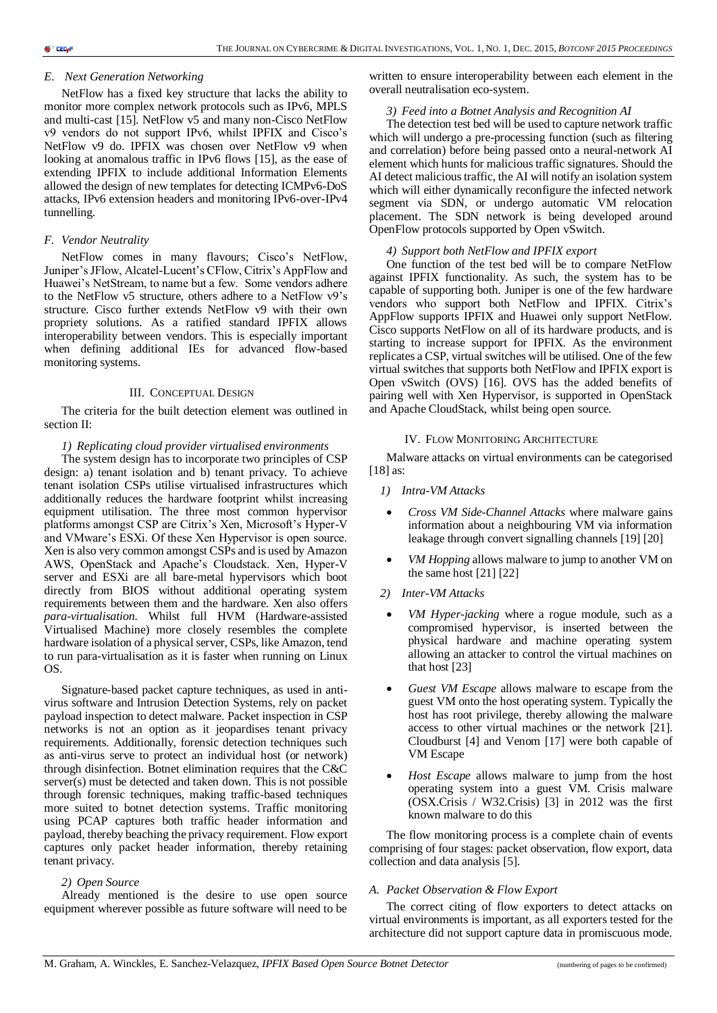## *E. Next Generation Networking*

NetFlow has a fixed key structure that lacks the ability to monitor more complex network protocols such as IPv6, MPLS and multi-cast [\[15\].](#page-6-15) NetFlow v5 and many non-Cisco NetFlow v9 vendors do not support IPv6, whilst IPFIX and Cisco's NetFlow v9 do. IPFIX was chosen over NetFlow v9 when looking at anomalous traffic in IPv6 flows [\[15\],](#page-6-15) as the ease of extending IPFIX to include additional Information Elements allowed the design of new templates for detecting ICMPv6-DoS attacks, IPv6 extension headers and monitoring IPv6-over-IPv4 tunnelling.

## *F. Vendor Neutrality*

NetFlow comes in many flavours; Cisco's NetFlow, Juniper's JFlow, Alcatel-Lucent's CFlow, Citrix's AppFlow and Huawei's NetStream, to name but a few. Some vendors adhere to the NetFlow v5 structure, others adhere to a NetFlow v9's structure. Cisco further extends NetFlow v9 with their own propriety solutions. As a ratified standard IPFIX allows interoperability between vendors. This is especially important when defining additional IEs for advanced flow-based monitoring systems.

## III. CONCEPTUAL DESIGN

The criteria for the built detection element was outlined in section II:

## *1) Replicating cloud provider virtualised environments*

The system design has to incorporate two principles of CSP design: a) tenant isolation and b) tenant privacy. To achieve tenant isolation CSPs utilise virtualised infrastructures which additionally reduces the hardware footprint whilst increasing equipment utilisation. The three most common hypervisor platforms amongst CSP are Citrix's Xen, Microsoft's Hyper-V and VMware's ESXi. Of these Xen Hypervisor is open source. Xen is also very common amongst CSPs and is used by Amazon AWS, OpenStack and Apache's Cloudstack. Xen, Hyper-V server and ESXi are all bare-metal hypervisors which boot directly from BIOS without additional operating system requirements between them and the hardware. Xen also offers *para-virtualisation*. Whilst full HVM (Hardware-assisted Virtualised Machine) more closely resembles the complete hardware isolation of a physical server, CSPs, like Amazon, tend to run para-virtualisation as it is faster when running on Linux OS.

Signature-based packet capture techniques, as used in antivirus software and Intrusion Detection Systems, rely on packet payload inspection to detect malware. Packet inspection in CSP networks is not an option as it jeopardises tenant privacy requirements. Additionally, forensic detection techniques such as anti-virus serve to protect an individual host (or network) through disinfection. Botnet elimination requires that the C&C server(s) must be detected and taken down. This is not possible through forensic techniques, making traffic-based techniques more suited to botnet detection systems. Traffic monitoring using PCAP captures both traffic header information and payload, thereby beaching the privacy requirement. Flow export captures only packet header information, thereby retaining tenant privacy.

## *2) Open Source*

Already mentioned is the desire to use open source equipment wherever possible as future software will need to be

written to ensure interoperability between each element in the overall neutralisation eco-system.

## *3) Feed into a Botnet Analysis and Recognition AI*

The detection test bed will be used to capture network traffic which will undergo a pre-processing function (such as filtering and correlation) before being passed onto a neural-network AI element which hunts for malicious traffic signatures. Should the AI detect malicious traffic, the AI will notify an isolation system which will either dynamically reconfigure the infected network segment via SDN, or undergo automatic VM relocation placement. The SDN network is being developed around OpenFlow protocols supported by Open vSwitch.

## *4) Support both NetFlow and IPFIX export*

One function of the test bed will be to compare NetFlow against IPFIX functionality. As such, the system has to be capable of supporting both. Juniper is one of the few hardware vendors who support both NetFlow and IPFIX. Citrix's AppFlow supports IPFIX and Huawei only support NetFlow. Cisco supports NetFlow on all of its hardware products, and is starting to increase support for IPFIX. As the environment replicates a CSP, virtual switches will be utilised. One of the few virtual switches that supports both NetFlow and IPFIX export is Open vSwitch (OVS) [\[16\].](#page-6-16) OVS has the added benefits of pairing well with Xen Hypervisor, is supported in OpenStack and Apache CloudStack, whilst being open source.

## IV. FLOW MONITORING ARCHITECTURE

Malware attacks on virtual environments can be categorised [\[18\]](#page-7-0) as:

- *1) Intra-VM Attacks*
- *Cross VM Side-Channel Attacks* where malware gains information about a neighbouring VM via information leakage through convert signalling channel[s \[19\]](#page-7-1) [\[20\]](#page-7-2)
- *VM Hopping* allows malware to jump to another VM on the same hos[t \[21\]](#page-7-3) [\[22\]](#page-7-4)
- *2) Inter-VM Attacks*
	- *VM Hyper-jacking* where a rogue module, such as a compromised hypervisor, is inserted between the physical hardware and machine operating system allowing an attacker to control the virtual machines on that host [\[23\]](#page-7-5)
- *Guest VM Escape* allows malware to escape from the guest VM onto the host operating system. Typically the host has root privilege, thereby allowing the malware access to other virtual machines or the network [\[21\].](#page-7-3) Cloudburst [\[4\]](#page-6-3) and Venom [\[17\]](#page-6-4) were both capable of VM Escape
- *Host Escape* allows malware to jump from the host operating system into a guest VM. Crisis malware (OSX.Crisis / W32.Crisis) [\[3\]](#page-6-2) in 2012 was the first known malware to do this

The flow monitoring process is a complete chain of events comprising of four stages: packet observation, flow export, data collection and data analysis [\[5\].](#page-6-5)

## *A. Packet Observation & Flow Export*

The correct citing of flow exporters to detect attacks on virtual environments is important, as all exporters tested for the architecture did not support capture data in promiscuous mode.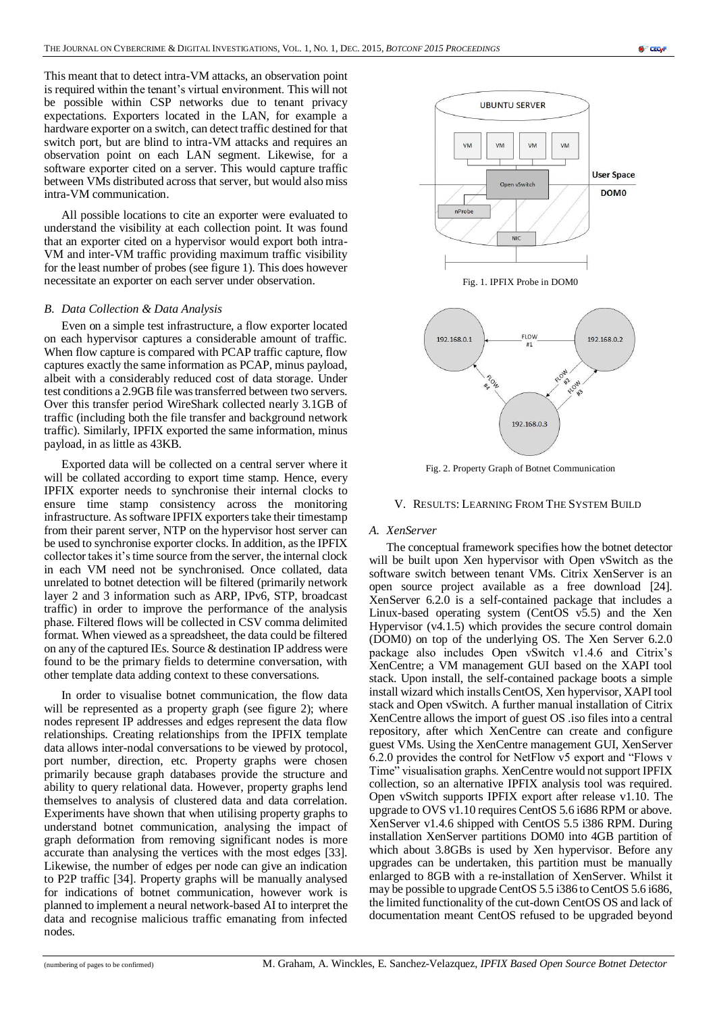This meant that to detect intra-VM attacks, an observation point is required within the tenant's virtual environment. This will not be possible within CSP networks due to tenant privacy expectations. Exporters located in the LAN, for example a hardware exporter on a switch, can detect traffic destined for that switch port, but are blind to intra-VM attacks and requires an observation point on each LAN segment. Likewise, for a software exporter cited on a server. This would capture traffic between VMs distributed across that server, but would also miss intra-VM communication.

All possible locations to cite an exporter were evaluated to understand the visibility at each collection point. It was found that an exporter cited on a hypervisor would export both intra-VM and inter-VM traffic providing maximum traffic visibility for the least number of probes (see figure 1). This does however necessitate an exporter on each server under observation.

## *B. Data Collection & Data Analysis*

Even on a simple test infrastructure, a flow exporter located on each hypervisor captures a considerable amount of traffic. When flow capture is compared with PCAP traffic capture, flow captures exactly the same information as PCAP, minus payload, albeit with a considerably reduced cost of data storage. Under test conditions a 2.9GB file was transferred between two servers. Over this transfer period WireShark collected nearly 3.1GB of traffic (including both the file transfer and background network traffic). Similarly, IPFIX exported the same information, minus payload, in as little as 43KB.

Exported data will be collected on a central server where it will be collated according to export time stamp. Hence, every IPFIX exporter needs to synchronise their internal clocks to ensure time stamp consistency across the monitoring infrastructure. As software IPFIX exporters take their timestamp from their parent server, NTP on the hypervisor host server can be used to synchronise exporter clocks. In addition, as the IPFIX collector takes it's time source from the server, the internal clock in each VM need not be synchronised. Once collated, data unrelated to botnet detection will be filtered (primarily network layer 2 and 3 information such as ARP, IPv6, STP, broadcast traffic) in order to improve the performance of the analysis phase. Filtered flows will be collected in CSV comma delimited format. When viewed as a spreadsheet, the data could be filtered on any of the captured IEs. Source & destination IP address were found to be the primary fields to determine conversation, with other template data adding context to these conversations.

In order to visualise botnet communication, the flow data will be represented as a property graph (see figure 2); where nodes represent IP addresses and edges represent the data flow relationships. Creating relationships from the IPFIX template data allows inter-nodal conversations to be viewed by protocol, port number, direction, etc. Property graphs were chosen primarily because graph databases provide the structure and ability to query relational data. However, property graphs lend themselves to analysis of clustered data and data correlation. Experiments have shown that when utilising property graphs to understand botnet communication, analysing the impact of graph deformation from removing significant nodes is more accurate than analysing the vertices with the most edges [\[33\].](#page-7-6) Likewise, the number of edges per node can give an indication to P2P traffic [\[34\].](#page-7-7) Property graphs will be manually analysed for indications of botnet communication, however work is planned to implement a neural network-based AI to interpret the data and recognise malicious traffic emanating from infected nodes.



Fig. 2. Property Graph of Botnet Communication

#### V. RESULTS: LEARNING FROM THE SYSTEM BUILD

#### *A. XenServer*

The conceptual framework specifies how the botnet detector will be built upon Xen hypervisor with Open vSwitch as the software switch between tenant VMs. Citrix XenServer is an open source project available as a free download [\[24\].](#page-7-8) XenServer 6.2.0 is a self-contained package that includes a Linux-based operating system (CentOS v5.5) and the Xen Hypervisor (v4.1.5) which provides the secure control domain (DOM0) on top of the underlying OS. The Xen Server 6.2.0 package also includes Open vSwitch v1.4.6 and Citrix's XenCentre; a VM management GUI based on the XAPI tool stack. Upon install, the self-contained package boots a simple install wizard which installs CentOS, Xen hypervisor, XAPI tool stack and Open vSwitch. A further manual installation of Citrix XenCentre allows the import of guest OS .iso files into a central repository, after which XenCentre can create and configure guest VMs. Using the XenCentre management GUI, XenServer 6.2.0 provides the control for NetFlow v5 export and "Flows v Time" visualisation graphs. XenCentre would not support IPFIX collection, so an alternative IPFIX analysis tool was required. Open vSwitch supports IPFIX export after release v1.10. The upgrade to OVS v1.10 requires CentOS 5.6 i686 RPM or above. XenServer v1.4.6 shipped with CentOS 5.5 i386 RPM. During installation XenServer partitions DOM0 into 4GB partition of which about 3.8GBs is used by Xen hypervisor. Before any upgrades can be undertaken, this partition must be manually enlarged to 8GB with a re-installation of XenServer. Whilst it may be possible to upgrade CentOS 5.5 i386 to CentOS 5.6 i686, the limited functionality of the cut-down CentOS OS and lack of documentation meant CentOS refused to be upgraded beyond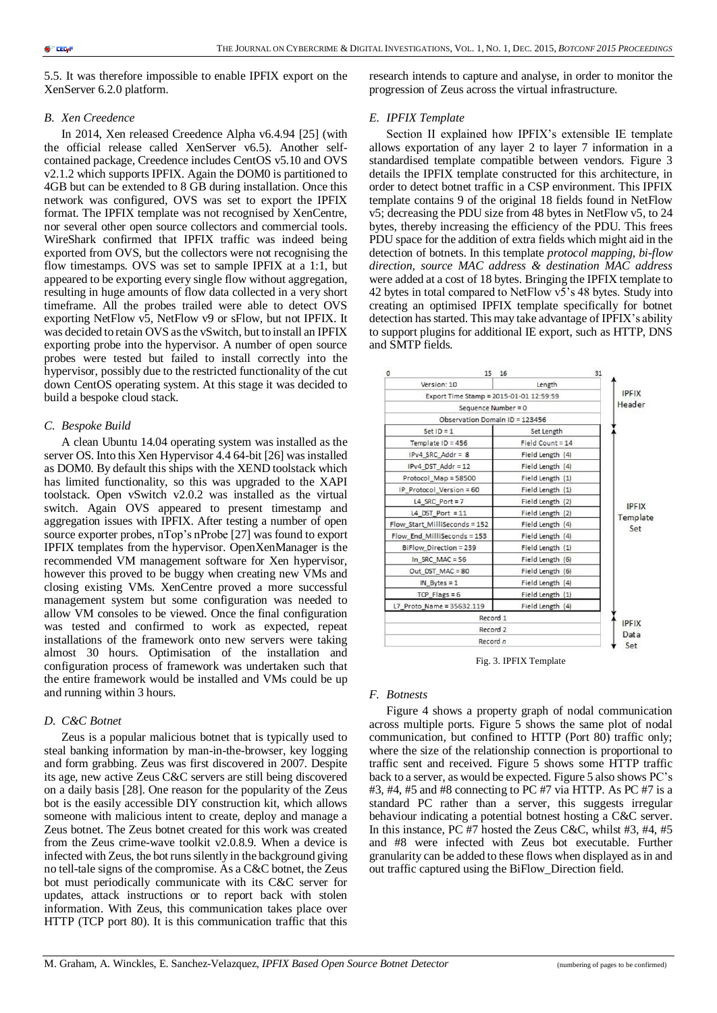5.5. It was therefore impossible to enable IPFIX export on the XenServer 6.2.0 platform.

research intends to capture and analyse, in order to monitor the progression of Zeus across the virtual infrastructure.

## *B. Xen Creedence*

In 2014, Xen released Creedence Alpha v6.4.94 [\[25\]](#page-7-9) (with the official release called XenServer v6.5). Another selfcontained package, Creedence includes CentOS v5.10 and OVS v2.1.2 which supports IPFIX. Again the DOM0 is partitioned to 4GB but can be extended to 8 GB during installation. Once this network was configured, OVS was set to export the IPFIX format. The IPFIX template was not recognised by XenCentre, nor several other open source collectors and commercial tools. WireShark confirmed that IPFIX traffic was indeed being exported from OVS, but the collectors were not recognising the flow timestamps. OVS was set to sample IPFIX at a 1:1, but appeared to be exporting every single flow without aggregation, resulting in huge amounts of flow data collected in a very short timeframe. All the probes trailed were able to detect OVS exporting NetFlow v5, NetFlow v9 or sFlow, but not IPFIX. It was decided to retain OVS as the vSwitch, but to install an IPFIX exporting probe into the hypervisor. A number of open source probes were tested but failed to install correctly into the hypervisor, possibly due to the restricted functionality of the cut down CentOS operating system. At this stage it was decided to build a bespoke cloud stack.

## *C. Bespoke Build*

A clean Ubuntu 14.04 operating system was installed as the server OS. Into this Xen Hypervisor 4.4 64-bi[t \[26\]](#page-7-10) was installed as DOM0. By default this ships with the XEND toolstack which has limited functionality, so this was upgraded to the XAPI toolstack. Open vSwitch v2.0.2 was installed as the virtual switch. Again OVS appeared to present timestamp and aggregation issues with IPFIX. After testing a number of open source exporter probes, nTop's nProb[e \[27\]](#page-7-11) was found to export IPFIX templates from the hypervisor. OpenXenManager is the recommended VM management software for Xen hypervisor, however this proved to be buggy when creating new VMs and closing existing VMs. XenCentre proved a more successful management system but some configuration was needed to allow VM consoles to be viewed. Once the final configuration was tested and confirmed to work as expected, repeat installations of the framework onto new servers were taking almost 30 hours. Optimisation of the installation and configuration process of framework was undertaken such that the entire framework would be installed and VMs could be up and running within 3 hours.

## *D. C&C Botnet*

Zeus is a popular malicious botnet that is typically used to steal banking information by man-in-the-browser, key logging and form grabbing. Zeus was first discovered in 2007. Despite its age, new active Zeus C&C servers are still being discovered on a daily basis [\[28\].](#page-7-12) One reason for the popularity of the Zeus bot is the easily accessible DIY construction kit, which allows someone with malicious intent to create, deploy and manage a Zeus botnet. The Zeus botnet created for this work was created from the Zeus crime-wave toolkit v2.0.8.9. When a device is infected with Zeus, the bot runs silently in the background giving no tell-tale signs of the compromise. As a C&C botnet, the Zeus bot must periodically communicate with its C&C server for updates, attack instructions or to report back with stolen information. With Zeus, this communication takes place over HTTP (TCP port 80). It is this communication traffic that this

## *E. IPFIX Template*

Section II explained how IPFIX's extensible IE template allows exportation of any layer 2 to layer 7 information in a standardised template compatible between vendors. Figure 3 details the IPFIX template constructed for this architecture, in order to detect botnet traffic in a CSP environment. This IPFIX template contains 9 of the original 18 fields found in NetFlow v5; decreasing the PDU size from 48 bytes in NetFlow v5, to 24 bytes, thereby increasing the efficiency of the PDU. This frees PDU space for the addition of extra fields which might aid in the detection of botnets. In this template *protocol mapping, bi-flow direction, source MAC address & destination MAC address* were added at a cost of 18 bytes. Bringing the IPFIX template to 42 bytes in total compared to NetFlow v5's 48 bytes. Study into creating an optimised IPFIX template specifically for botnet detection has started. This may take advantage of IPFIX's ability to support plugins for additional IE export, such as HTTP, DNS and SMTP fields.

| 0<br>15 <sup>1</sup>                    | 16                 | 31           |
|-----------------------------------------|--------------------|--------------|
| Version: 10                             | Length             |              |
| Export Time Stamp = 2015-01-01 12:59:59 |                    | <b>IPFIX</b> |
| Sequence Number = 0                     |                    | Header       |
| Observation Domain ID = 123456          |                    |              |
| Set $ID = 1$                            | Set Length         |              |
| Template $ID = 456$                     | $Field$ Count = 14 |              |
| $IPv4$ SRC Addr = $8$                   | Field Length (4)   |              |
| IPv4_DST_Addr = 12                      | Field Length (4)   |              |
| Protocol_Map = 58500                    | Field Length (1)   |              |
| IP_Protocol_Version = 60                | Field Length (1)   |              |
| L4_SRC_Port = $7$                       | Field Length (2)   | <b>IPFIX</b> |
| L4 DST_Port = $11$                      | Field Length (2)   | Template     |
| Flow_Start_MilliSeconds = 152           | Field Length (4)   | Set          |
| Flow End MilliSeconds = 153             | Field Length (4)   |              |
| BiFlow Direction = 239                  | Field Length (1)   |              |
| In SRC MAC = $56$                       | Field Length (6)   |              |
| Out DST MAC = $80$                      | Field Length (6)   |              |
| $IN$ Bytes = 1                          | Field Length (4)   |              |
| $TCP \t{Flags} = 6$                     | Field Length (1)   |              |
| L7 Proto Name = 35632.119               | Field Length (4)   |              |
| Record 1                                |                    | <b>IPFIX</b> |
| Record 2                                |                    | Data         |
| Record n                                |                    | Set          |

Fig. 3. IPFIX Template

## *F. Botnests*

Figure 4 shows a property graph of nodal communication across multiple ports. Figure 5 shows the same plot of nodal communication, but confined to HTTP (Port 80) traffic only; where the size of the relationship connection is proportional to traffic sent and received. Figure 5 shows some HTTP traffic back to a server, as would be expected. Figure 5 also shows PC's #3, #4, #5 and #8 connecting to PC #7 via HTTP. As PC #7 is a standard PC rather than a server, this suggests irregular behaviour indicating a potential botnest hosting a C&C server. In this instance, PC #7 hosted the Zeus C&C, whilst #3, #4, #5 and #8 were infected with Zeus bot executable. Further granularity can be added to these flows when displayed as in and out traffic captured using the BiFlow\_Direction field.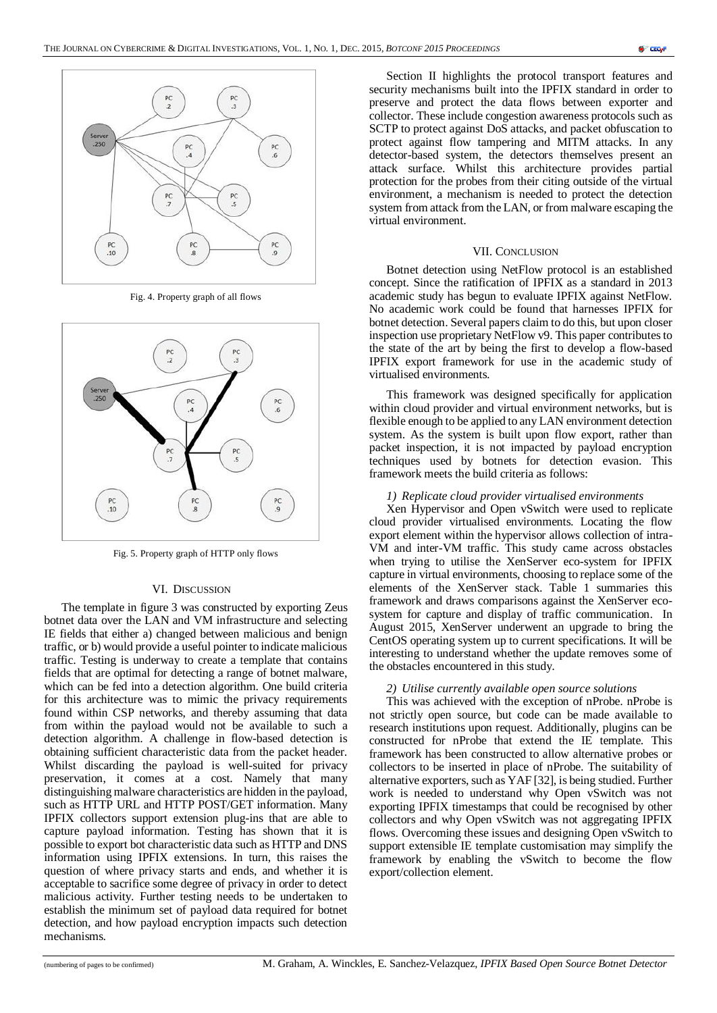

Fig. 4. Property graph of all flows



Fig. 5. Property graph of HTTP only flows

#### VI. DISCUSSION

The template in figure 3 was constructed by exporting Zeus botnet data over the LAN and VM infrastructure and selecting IE fields that either a) changed between malicious and benign traffic, or b) would provide a useful pointer to indicate malicious traffic. Testing is underway to create a template that contains fields that are optimal for detecting a range of botnet malware, which can be fed into a detection algorithm. One build criteria for this architecture was to mimic the privacy requirements found within CSP networks, and thereby assuming that data from within the payload would not be available to such a detection algorithm. A challenge in flow-based detection is obtaining sufficient characteristic data from the packet header. Whilst discarding the payload is well-suited for privacy preservation, it comes at a cost. Namely that many distinguishing malware characteristics are hidden in the payload, such as HTTP URL and HTTP POST/GET information. Many IPFIX collectors support extension plug-ins that are able to capture payload information. Testing has shown that it is possible to export bot characteristic data such as HTTP and DNS information using IPFIX extensions. In turn, this raises the question of where privacy starts and ends, and whether it is acceptable to sacrifice some degree of privacy in order to detect malicious activity. Further testing needs to be undertaken to establish the minimum set of payload data required for botnet detection, and how payload encryption impacts such detection mechanisms.

Section II highlights the protocol transport features and security mechanisms built into the IPFIX standard in order to preserve and protect the data flows between exporter and collector. These include congestion awareness protocols such as SCTP to protect against DoS attacks, and packet obfuscation to protect against flow tampering and MITM attacks. In any detector-based system, the detectors themselves present an attack surface. Whilst this architecture provides partial protection for the probes from their citing outside of the virtual environment, a mechanism is needed to protect the detection system from attack from the LAN, or from malware escaping the virtual environment.

#### VII. CONCLUSION

Botnet detection using NetFlow protocol is an established concept. Since the ratification of IPFIX as a standard in 2013 academic study has begun to evaluate IPFIX against NetFlow. No academic work could be found that harnesses IPFIX for botnet detection. Several papers claim to do this, but upon closer inspection use proprietary NetFlow v9. This paper contributes to the state of the art by being the first to develop a flow-based IPFIX export framework for use in the academic study of virtualised environments.

This framework was designed specifically for application within cloud provider and virtual environment networks, but is flexible enough to be applied to any LAN environment detection system. As the system is built upon flow export, rather than packet inspection, it is not impacted by payload encryption techniques used by botnets for detection evasion. This framework meets the build criteria as follows:

## *1) Replicate cloud provider virtualised environments*

Xen Hypervisor and Open vSwitch were used to replicate cloud provider virtualised environments. Locating the flow export element within the hypervisor allows collection of intra-VM and inter-VM traffic. This study came across obstacles when trying to utilise the XenServer eco-system for IPFIX capture in virtual environments, choosing to replace some of the elements of the XenServer stack. Table 1 summaries this framework and draws comparisons against the XenServer ecosystem for capture and display of traffic communication. In August 2015, XenServer underwent an upgrade to bring the CentOS operating system up to current specifications. It will be interesting to understand whether the update removes some of the obstacles encountered in this study.

### *2) Utilise currently available open source solutions*

This was achieved with the exception of nProbe. nProbe is not strictly open source, but code can be made available to research institutions upon request. Additionally, plugins can be constructed for nProbe that extend the IE template. This framework has been constructed to allow alternative probes or collectors to be inserted in place of nProbe. The suitability of alternative exporters, such as YA[F \[32\],](#page-7-13) is being studied. Further work is needed to understand why Open vSwitch was not exporting IPFIX timestamps that could be recognised by other collectors and why Open vSwitch was not aggregating IPFIX flows. Overcoming these issues and designing Open vSwitch to support extensible IE template customisation may simplify the framework by enabling the vSwitch to become the flow export/collection element.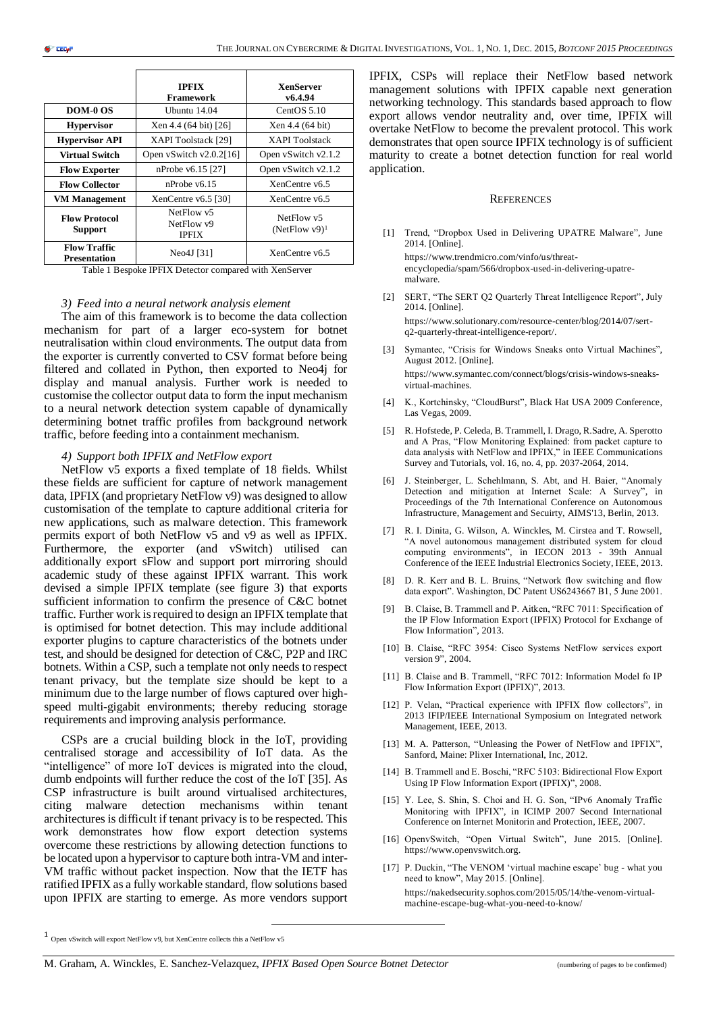|                                        | <b>IPFIX</b><br>Framework                | XenServer<br>v6.4.94           |
|----------------------------------------|------------------------------------------|--------------------------------|
| DOM-0 OS                               | Ubuntu 14.04                             | CentOS $5.10$                  |
| <b>Hypervisor</b>                      | Xen 4.4 (64 bit) [26]                    | Xen 4.4 (64 bit)               |
| <b>Hypervisor API</b>                  | XAPI Toolstack [29]                      | <b>XAPI</b> Toolstack          |
| <b>Virtual Switch</b>                  | Open vSwitch $v2.0.2[16]$                | Open vSwitch $v2.1.2$          |
| <b>Flow Exporter</b>                   | nProbe v6.15 [27]                        | Open vSwitch $v2.1.2$          |
| <b>Flow Collector</b>                  | $n$ Probe $v$ 6.15                       | XenCentre v6.5                 |
| <b>VM Management</b>                   | XenCentre $v6.5$ [30]                    | XenCentre v6.5                 |
| <b>Flow Protocol</b><br><b>Support</b> | NetFlow v5<br>NetFlow y9<br><b>IPFIX</b> | NetFlow y5<br>$(NetFlow v9)^1$ |
| <b>Flow Traffic</b><br>Presentation    | Neo4J [31]                               | XenCentre v6.5                 |

Table 1 Bespoke IPFIX Detector compared with XenServer

#### *3) Feed into a neural network analysis element*

The aim of this framework is to become the data collection mechanism for part of a larger eco-system for botnet neutralisation within cloud environments. The output data from the exporter is currently converted to CSV format before being filtered and collated in Python, then exported to Neo4j for display and manual analysis. Further work is needed to customise the collector output data to form the input mechanism to a neural network detection system capable of dynamically determining botnet traffic profiles from background network traffic, before feeding into a containment mechanism.

#### *4) Support both IPFIX and NetFlow export*

NetFlow v5 exports a fixed template of 18 fields. Whilst these fields are sufficient for capture of network management data, IPFIX (and proprietary NetFlow v9) was designed to allow customisation of the template to capture additional criteria for new applications, such as malware detection. This framework permits export of both NetFlow v5 and v9 as well as IPFIX. Furthermore, the exporter (and vSwitch) utilised can additionally export sFlow and support port mirroring should academic study of these against IPFIX warrant. This work devised a simple IPFIX template (see figure 3) that exports sufficient information to confirm the presence of C&C botnet traffic. Further work is required to design an IPFIX template that is optimised for botnet detection. This may include additional exporter plugins to capture characteristics of the botnets under test, and should be designed for detection of C&C, P2P and IRC botnets. Within a CSP, such a template not only needs to respect tenant privacy, but the template size should be kept to a minimum due to the large number of flows captured over highspeed multi-gigabit environments; thereby reducing storage requirements and improving analysis performance.

CSPs are a crucial building block in the IoT, providing centralised storage and accessibility of IoT data. As the "intelligence" of more IoT devices is migrated into the cloud, dumb endpoints will further reduce the cost of the IoT [35]. As CSP infrastructure is built around virtualised architectures, citing malware detection mechanisms within tenant architectures is difficult if tenant privacy is to be respected. This work demonstrates how flow export detection systems overcome these restrictions by allowing detection functions to be located upon a hypervisor to capture both intra-VM and inter-VM traffic without packet inspection. Now that the IETF has ratified IPFIX as a fully workable standard, flow solutions based upon IPFIX are starting to emerge. As more vendors support IPFIX, CSPs will replace their NetFlow based network management solutions with IPFIX capable next generation networking technology. This standards based approach to flow export allows vendor neutrality and, over time, IPFIX will overtake NetFlow to become the prevalent protocol. This work demonstrates that open source IPFIX technology is of sufficient maturity to create a botnet detection function for real world application.

#### **REFERENCES**

- <span id="page-6-0"></span>[1] Trend, "Dropbox Used in Delivering UPATRE Malware", June 2014. [Online]. https://www.trendmicro.com/vinfo/us/threatencyclopedia/spam/566/dropbox-used-in-delivering-upatremalware.
- <span id="page-6-1"></span>[2] SERT, "The SERT Q2 Quarterly Threat Intelligence Report", July 2014. [Online].

https://www.solutionary.com/resource-center/blog/2014/07/sertq2-quarterly-threat-intelligence-report/.

- <span id="page-6-2"></span>[3] Symantec, "Crisis for Windows Sneaks onto Virtual Machines", August 2012. [Online]. https://www.symantec.com/connect/blogs/crisis-windows-sneaksvirtual-machines.
- <span id="page-6-3"></span>[4] K., Kortchinsky, "CloudBurst", Black Hat USA 2009 Conference, Las Vegas, 2009.
- <span id="page-6-5"></span>[5] R. Hofstede, P. Celeda, B. Trammell, I. Drago, R.Sadre, A. Sperotto and A Pras, "Flow Monitoring Explained: from packet capture to data analysis with NetFlow and IPFIX," in IEEE Communications Survey and Tutorials, vol. 16, no. 4, pp. 2037-2064, 2014.
- <span id="page-6-6"></span>[6] J. Steinberger, L. Schehlmann, S. Abt, and H. Baier, "Anomaly Detection and mitigation at Internet Scale: A Survey", in Proceedings of the 7th International Conference on Autonomous Infrastructure, Management and Secuirty, AIMS'13, Berlin, 2013.
- <span id="page-6-7"></span>[7] R. I. Dinita, G. Wilson, A. Winckles, M. Cirstea and T. Rowsell, "A novel autonomous management distributed system for cloud computing environments", in IECON 2013 - 39th Annual Conference of the IEEE Industrial Electronics Society, IEEE, 2013.
- <span id="page-6-8"></span>[8] D. R. Kerr and B. L. Bruins, "Network flow switching and flow data export". Washington, DC Patent US6243667 B1, 5 June 2001.
- <span id="page-6-9"></span>[9] B. Claise, B. Trammell and P. Aitken, "RFC 7011: Specification of the IP Flow Information Export (IPFIX) Protocol for Exchange of Flow Information", 2013.
- <span id="page-6-10"></span>[10] B. Claise, "RFC 3954: Cisco Systems NetFlow services export version 9", 2004.
- <span id="page-6-11"></span>[11] B. Claise and B. Trammell, "RFC 7012: Information Model fo IP Flow Information Export (IPFIX)", 2013.
- <span id="page-6-12"></span>[12] P. Velan, "Practical experience with IPFIX flow collectors", in 2013 IFIP/IEEE International Symposium on Integrated network Management, IEEE, 2013.
- <span id="page-6-13"></span>[13] M. A. Patterson, "Unleasing the Power of NetFlow and IPFIX", Sanford, Maine: Plixer International, Inc, 2012.
- <span id="page-6-14"></span>[14] B. Trammell and E. Boschi, "RFC 5103: Bidirectional Flow Export Using IP Flow Information Export (IPFIX)", 2008.
- <span id="page-6-15"></span>[15] Y. Lee, S. Shin, S. Choi and H. G. Son, "IPv6 Anomaly Traffic Monitoring with IPFIX", in ICIMP 2007 Second International Conference on Internet Monitorin and Protection, IEEE, 2007.
- <span id="page-6-16"></span>[16] OpenvSwitch, "Open Virtual Switch", June 2015. [Online]. https://www.openvswitch.org.
- <span id="page-6-4"></span>[17] P. Duckin, "The VENOM 'virtual machine escape' bug - what you need to know", May 2015. [Online]. https://nakedsecurity.sophos.com/2015/05/14/the-venom-virtualmachine-escape-bug-what-you-need-to-know/

-

<sup>1</sup> Open vSwitch will export NetFlow v9, but XenCentre collects this a NetFlow v5